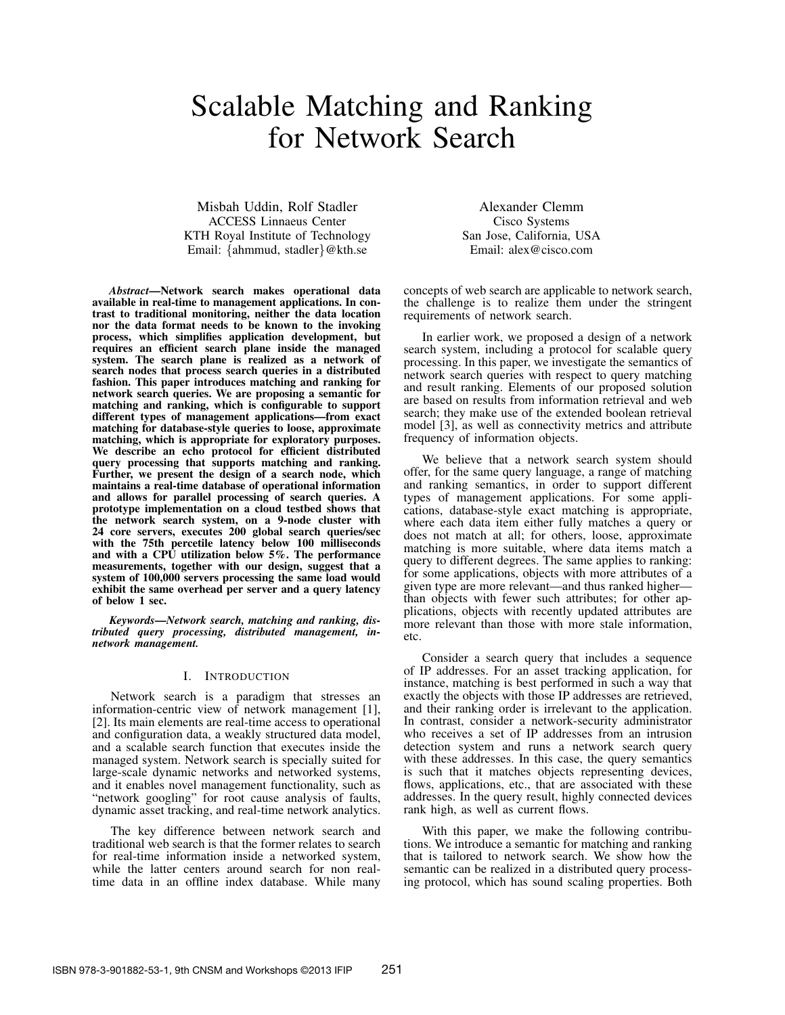# Scalable Matching and Ranking for Network Search

Misbah Uddin, Rolf Stadler ACCESS Linnaeus Center KTH Royal Institute of Technology Email: {ahmmud, stadler}@kth.se

*Abstract*—Network search makes operational data available in real-time to management applications. In contrast to traditional monitoring, neither the data location nor the data format needs to be known to the invoking process, which simplifies application development, but requires an efficient search plane inside the managed system. The search plane is realized as a network of search nodes that process search queries in a distributed fashion. This paper introduces matching and ranking for network search queries. We are proposing a semantic for matching and ranking, which is configurable to support different types of management applications—from exact matching for database-style queries to loose, approximate matching, which is appropriate for exploratory purposes. We describe an echo protocol for efficient distributed query processing that supports matching and ranking. Further, we present the design of a search node, which maintains a real-time database of operational information and allows for parallel processing of search queries. A prototype implementation on a cloud testbed shows that the network search system, on a 9-node cluster with 24 core servers, executes 200 global search queries/sec with the 75th percetile latency below 100 milliseconds and with a CPU utilization below 5%. The performance measurements, together with our design, suggest that a system of 100,000 servers processing the same load would exhibit the same overhead per server and a query latency of below 1 sec.

*Keywords*—*Network search, matching and ranking, distributed query processing, distributed management, innetwork management.*

# I. INTRODUCTION

Network search is a paradigm that stresses an information-centric view of network management [1], [2]. Its main elements are real-time access to operational and configuration data, a weakly structured data model, and a scalable search function that executes inside the managed system. Network search is specially suited for large-scale dynamic networks and networked systems, and it enables novel management functionality, such as "network googling" for root cause analysis of faults, dynamic asset tracking, and real-time network analytics.

The key difference between network search and traditional web search is that the former relates to search for real-time information inside a networked system, while the latter centers around search for non realtime data in an offline index database. While many

Alexander Clemm Cisco Systems San Jose, California, USA Email: alex@cisco.com

concepts of web search are applicable to network search, the challenge is to realize them under the stringent requirements of network search.

In earlier work, we proposed a design of a network search system, including a protocol for scalable query processing. In this paper, we investigate the semantics of network search queries with respect to query matching and result ranking. Elements of our proposed solution are based on results from information retrieval and web search; they make use of the extended boolean retrieval model [3], as well as connectivity metrics and attribute frequency of information objects.

We believe that a network search system should offer, for the same query language, a range of matching and ranking semantics, in order to support different types of management applications. For some applications, database-style exact matching is appropriate, where each data item either fully matches a query or does not match at all; for others, loose, approximate matching is more suitable, where data items match a query to different degrees. The same applies to ranking: for some applications, objects with more attributes of a given type are more relevant—and thus ranked higher than objects with fewer such attributes; for other applications, objects with recently updated attributes are more relevant than those with more stale information, etc.

Consider a search query that includes a sequence of IP addresses. For an asset tracking application, for instance, matching is best performed in such a way that exactly the objects with those IP addresses are retrieved, and their ranking order is irrelevant to the application. In contrast, consider a network-security administrator who receives a set of IP addresses from an intrusion detection system and runs a network search query with these addresses. In this case, the query semantics is such that it matches objects representing devices, flows, applications, etc., that are associated with these addresses. In the query result, highly connected devices rank high, as well as current flows.

With this paper, we make the following contributions. We introduce a semantic for matching and ranking that is tailored to network search. We show how the semantic can be realized in a distributed query processing protocol, which has sound scaling properties. Both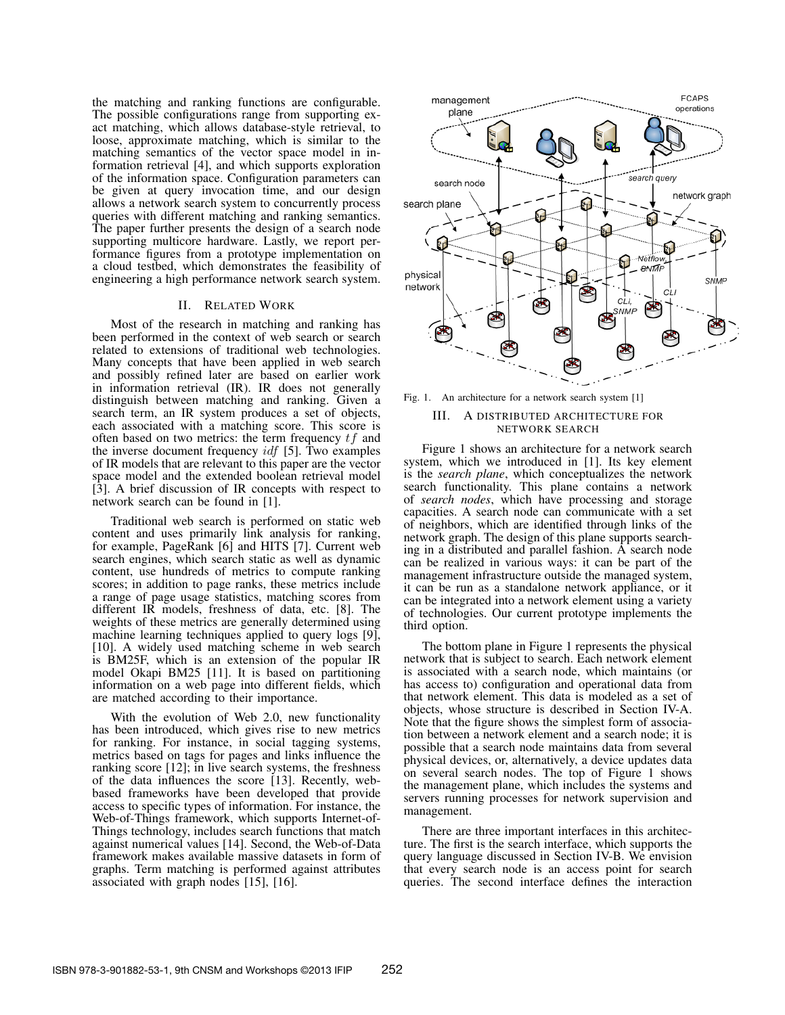the matching and ranking functions are configurable. The possible configurations range from supporting exact matching, which allows database-style retrieval, to loose, approximate matching, which is similar to the matching semantics of the vector space model in information retrieval [4], and which supports exploration of the information space. Configuration parameters can be given at query invocation time, and our design allows a network search system to concurrently process queries with different matching and ranking semantics. The paper further presents the design of a search node supporting multicore hardware. Lastly, we report performance figures from a prototype implementation on a cloud testbed, which demonstrates the feasibility of engineering a high performance network search system.

# II. RELATED WORK

Most of the research in matching and ranking has been performed in the context of web search or search related to extensions of traditional web technologies. Many concepts that have been applied in web search and possibly refined later are based on earlier work in information retrieval (IR). IR does not generally distinguish between matching and ranking. Given a search term, an IR system produces a set of objects, each associated with a matching score. This score is often based on two metrics: the term frequency  $tf$  and the inverse document frequency  $\text{id}f$  [5]. Two examples of IR models that are relevant to this paper are the vector space model and the extended boolean retrieval model [3]. A brief discussion of IR concepts with respect to network search can be found in [1].

Traditional web search is performed on static web content and uses primarily link analysis for ranking, for example, PageRank [6] and HITS [7]. Current web search engines, which search static as well as dynamic content, use hundreds of metrics to compute ranking scores; in addition to page ranks, these metrics include a range of page usage statistics, matching scores from different IR models, freshness of data, etc. [8]. The weights of these metrics are generally determined using machine learning techniques applied to query logs [9], [10]. A widely used matching scheme in web search is BM25F, which is an extension of the popular IR model Okapi BM25 [11]. It is based on partitioning information on a web page into different fields, which are matched according to their importance.

With the evolution of Web 2.0, new functionality has been introduced, which gives rise to new metrics for ranking. For instance, in social tagging systems, metrics based on tags for pages and links influence the ranking score [12]; in live search systems, the freshness of the data influences the score [13]. Recently, webbased frameworks have been developed that provide access to specific types of information. For instance, the Web-of-Things framework, which supports Internet-of-Things technology, includes search functions that match against numerical values [14]. Second, the Web-of-Data framework makes available massive datasets in form of graphs. Term matching is performed against attributes associated with graph nodes [15], [16].



Fig. 1. An architecture for a network search system [1]

# III. A DISTRIBUTED ARCHITECTURE FOR NETWORK SEARCH

Figure 1 shows an architecture for a network search system, which we introduced in [1]. Its key element is the *search plane*, which conceptualizes the network search functionality. This plane contains a network of *search nodes*, which have processing and storage capacities. A search node can communicate with a set of neighbors, which are identified through links of the network graph. The design of this plane supports searching in a distributed and parallel fashion. A search node can be realized in various ways: it can be part of the management infrastructure outside the managed system, it can be run as a standalone network appliance, or it can be integrated into a network element using a variety of technologies. Our current prototype implements the third option.

The bottom plane in Figure 1 represents the physical network that is subject to search. Each network element is associated with a search node, which maintains (or has access to) configuration and operational data from that network element. This data is modeled as a set of objects, whose structure is described in Section IV-A. Note that the figure shows the simplest form of association between a network element and a search node; it is possible that a search node maintains data from several physical devices, or, alternatively, a device updates data on several search nodes. The top of Figure 1 shows the management plane, which includes the systems and servers running processes for network supervision and management.

There are three important interfaces in this architecture. The first is the search interface, which supports the query language discussed in Section IV-B. We envision that every search node is an access point for search queries. The second interface defines the interaction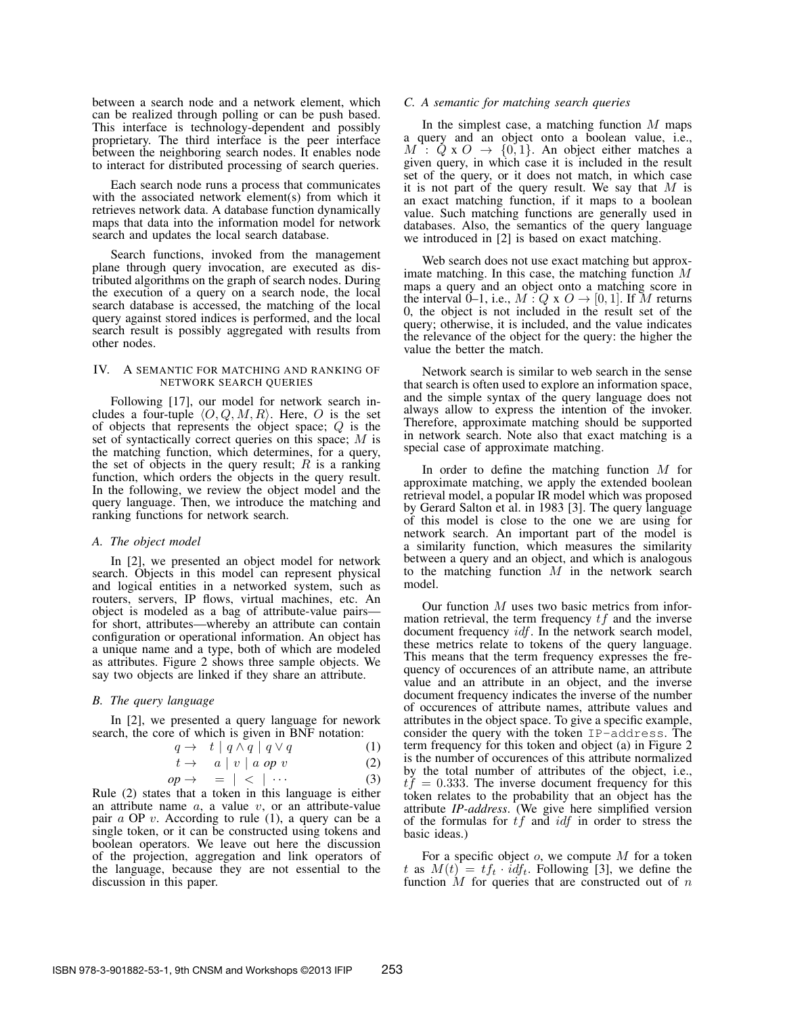between a search node and a network element, which can be realized through polling or can be push based. This interface is technology-dependent and possibly proprietary. The third interface is the peer interface between the neighboring search nodes. It enables node to interact for distributed processing of search queries.

Each search node runs a process that communicates with the associated network element(s) from which it retrieves network data. A database function dynamically maps that data into the information model for network search and updates the local search database.

Search functions, invoked from the management plane through query invocation, are executed as distributed algorithms on the graph of search nodes. During the execution of a query on a search node, the local search database is accessed, the matching of the local query against stored indices is performed, and the local search result is possibly aggregated with results from other nodes.

### IV. A SEMANTIC FOR MATCHING AND RANKING OF NETWORK SEARCH QUERIES

Following [17], our model for network search includes a four-tuple  $\langle O, Q, M, R \rangle$ . Here, O is the set of objects that represents the object space;  $Q$  is the set of syntactically correct queries on this space; M is the matching function, which determines, for a query, the set of objects in the query result;  $R$  is a ranking function, which orders the objects in the query result. In the following, we review the object model and the query language. Then, we introduce the matching and ranking functions for network search.

# *A. The object model*

In [2], we presented an object model for network search. Objects in this model can represent physical and logical entities in a networked system, such as routers, servers, IP flows, virtual machines, etc. An object is modeled as a bag of attribute-value pairs for short, attributes—whereby an attribute can contain configuration or operational information. An object has a unique name and a type, both of which are modeled as attributes. Figure 2 shows three sample objects. We say two objects are linked if they share an attribute.

# *B. The query language*

In [2], we presented a query language for nework search, the core of which is given in BNF notation:

$$
q \to t \mid q \wedge q \mid q \vee q \tag{1}
$$

$$
t \to a \mid v \mid a \text{ op } v \tag{2}
$$

$$
op \to = \vert < \vert \cdots \tag{3}
$$

Rule (2) states that a token in this language is either an attribute name  $a$ , a value  $v$ , or an attribute-value pair  $a$  OP  $v$ . According to rule (1), a query can be a single token, or it can be constructed using tokens and boolean operators. We leave out here the discussion of the projection, aggregation and link operators of the language, because they are not essential to the discussion in this paper.

# *C. A semantic for matching search queries*

In the simplest case, a matching function  $M$  maps a query and an object onto a boolean value, i.e.,  $M : Q \times Q \rightarrow \{0, 1\}$ . An object either matches a given query, in which case it is included in the result set of the query, or it does not match, in which case it is not part of the query result. We say that  $M$  is an exact matching function, if it maps to a boolean value. Such matching functions are generally used in databases. Also, the semantics of the query language we introduced in [2] is based on exact matching.

Web search does not use exact matching but approximate matching. In this case, the matching function M maps a query and an object onto a matching score in the interval 0–1, i.e.,  $M: Q \times O \rightarrow [0, 1]$ . If M returns 0, the object is not included in the result set of the query; otherwise, it is included, and the value indicates the relevance of the object for the query: the higher the value the better the match.

Network search is similar to web search in the sense that search is often used to explore an information space, and the simple syntax of the query language does not always allow to express the intention of the invoker. Therefore, approximate matching should be supported in network search. Note also that exact matching is a special case of approximate matching.

In order to define the matching function M for approximate matching, we apply the extended boolean retrieval model, a popular IR model which was proposed by Gerard Salton et al. in 1983 [3]. The query language of this model is close to the one we are using for network search. An important part of the model is a similarity function, which measures the similarity between a query and an object, and which is analogous to the matching function  $M$  in the network search model.

Our function  $M$  uses two basic metrics from information retrieval, the term frequency  $tf$  and the inverse document frequency *idf*. In the network search model, these metrics relate to tokens of the query language. This means that the term frequency expresses the frequency of occurences of an attribute name, an attribute value and an attribute in an object, and the inverse document frequency indicates the inverse of the number of occurences of attribute names, attribute values and attributes in the object space. To give a specific example, consider the query with the token IP-address. The term frequency for this token and object (a) in Figure 2 is the number of occurences of this attribute normalized by the total number of attributes of the object, i.e.,  $tf = 0.333$ . The inverse document frequency for this token relates to the probability that an object has the attribute *IP-address*. (We give here simplified version of the formulas for  $tf$  and  $idf$  in order to stress the basic ideas.)

For a specific object  $o$ , we compute M for a token t as  $M(t) = tf_t \cdot idf_t$ . Following [3], we define the function  $M$  for queries that are constructed out of  $n$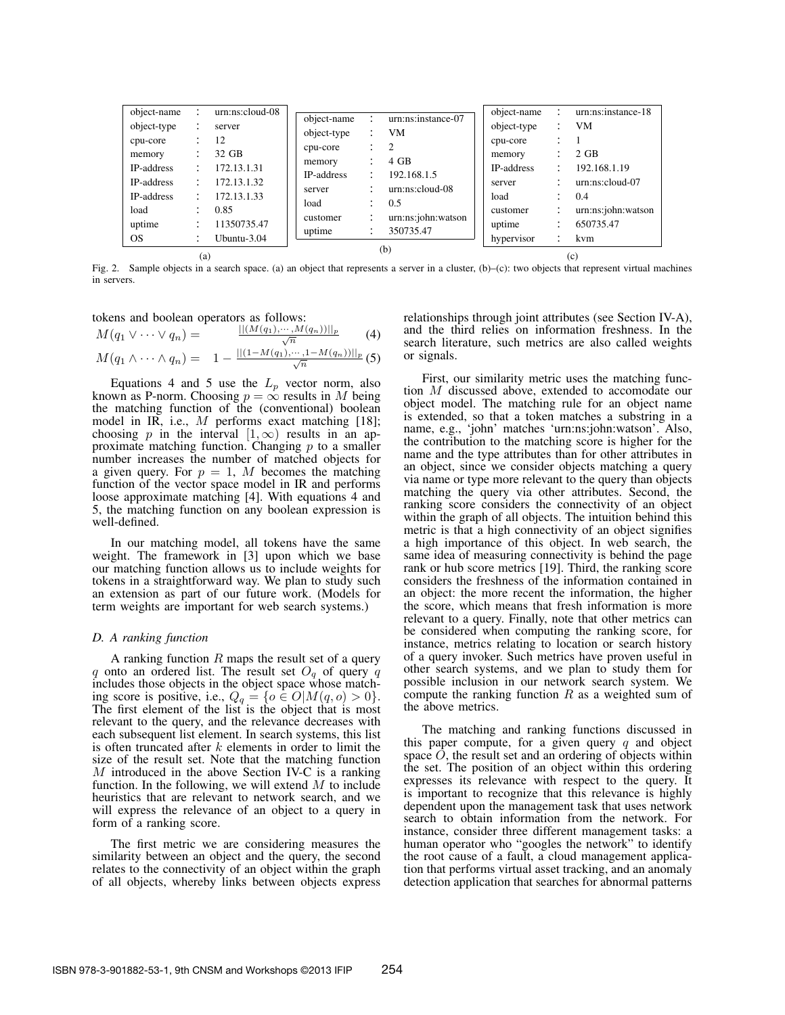| object-name       | $\ddot{\phantom{0}}$ | $urn:ns:cloud-08$ |                   |                |                    | object-name       | $\sim 100$           | urn:ns:instance-18 |
|-------------------|----------------------|-------------------|-------------------|----------------|--------------------|-------------------|----------------------|--------------------|
| object-type       |                      | server            | object-name       | $\mathbb{R}^n$ | urn:ns:instance-07 | object-type       | $\ddot{\phantom{0}}$ | VM                 |
| cpu-core          |                      | 12                | object-type       |                | <b>VM</b>          | cpu-core          | $\ddot{\phantom{0}}$ |                    |
| memory            | $\ddot{\phantom{a}}$ | 32 GB             | cpu-core          |                | $\overline{2}$     | memory            |                      | $2$ GB             |
| <b>IP-address</b> | ÷                    | 172.13.1.31       | memory            |                | 4 GB               | <b>IP-address</b> |                      | 192.168.1.19       |
| <b>IP-address</b> |                      | 172.13.1.32       | <b>IP-address</b> |                | 192.168.1.5        | server            |                      | $urn:ns:cloud-07$  |
| <b>IP-address</b> | $\ddot{\phantom{0}}$ | 172.13.1.33       | server            | ٠              | $urn:ns:cloud-08$  | load              | ٠                    | 0.4                |
| load              |                      | 0.85              | load              |                | 0.5                | customer          |                      | urn:ns:john:watson |
| uptime            | ٠                    | 11350735.47       | customer          | $\cdot$        | urn:ns:john:watson | uptime            |                      | 650735.47          |
| <sub>OS</sub>     |                      | Ubuntu-3.04       | uptime            |                | 350735.47          | hypervisor        |                      | kvm                |
| (a)               |                      |                   | (b)               |                |                    | (c)               |                      |                    |

Fig. 2. Sample objects in a search space. (a) an object that represents a server in a cluster, (b)–(c): two objects that represent virtual machines in servers.

tokens and boolean operators as follows:

$$
M(q_1 \vee \cdots \vee q_n) = \frac{\| (M(q_1), \cdots, M(q_n)) \|_p}{\sqrt{n}} \tag{4}
$$
  

$$
M(q_1 \wedge \cdots \wedge q_n) = 1 - \frac{\| (1 - M(q_1), \cdots, 1 - M(q_n)) \|_p}{\sqrt{n}} \tag{5}
$$

Equations 4 and 5 use the  $L_p$  vector norm, also known as P-norm. Choosing  $p = \infty$  results in M being the matching function of the (conventional) boolean model in IR, i.e., M performs exact matching [18]; choosing p in the interval  $[1, \infty)$  results in an approximate matching function. Changing  $p$  to a smaller number increases the number of matched objects for a given query. For  $p = 1$ , M becomes the matching function of the vector space model in IR and performs loose approximate matching [4]. With equations 4 and 5, the matching function on any boolean expression is well-defined.

In our matching model, all tokens have the same weight. The framework in [3] upon which we base our matching function allows us to include weights for tokens in a straightforward way. We plan to study such an extension as part of our future work. (Models for term weights are important for web search systems.)

# *D. A ranking function*

A ranking function  $R$  maps the result set of a query q onto an ordered list. The result set  $O<sub>q</sub>$  of query q includes those objects in the object space whose matching score is positive, i.e.,  $Q_q = \{o \in O | M(q, o) > 0\}.$ The first element of the list is the object that is most relevant to the query, and the relevance decreases with each subsequent list element. In search systems, this list is often truncated after  $k$  elements in order to limit the size of the result set. Note that the matching function M introduced in the above Section IV-C is a ranking function. In the following, we will extend  $M$  to include heuristics that are relevant to network search, and we will express the relevance of an object to a query in form of a ranking score.

The first metric we are considering measures the similarity between an object and the query, the second relates to the connectivity of an object within the graph of all objects, whereby links between objects express relationships through joint attributes (see Section IV-A), and the third relies on information freshness. In the search literature, such metrics are also called weights or signals.

First, our similarity metric uses the matching function M discussed above, extended to accomodate our object model. The matching rule for an object name is extended, so that a token matches a substring in a name, e.g., 'john' matches 'urn:ns:john:watson'. Also, the contribution to the matching score is higher for the name and the type attributes than for other attributes in an object, since we consider objects matching a query via name or type more relevant to the query than objects matching the query via other attributes. Second, the ranking score considers the connectivity of an object within the graph of all objects. The intuition behind this metric is that a high connectivity of an object signifies a high importance of this object. In web search, the same idea of measuring connectivity is behind the page rank or hub score metrics [19]. Third, the ranking score considers the freshness of the information contained in an object: the more recent the information, the higher the score, which means that fresh information is more relevant to a query. Finally, note that other metrics can be considered when computing the ranking score, for instance, metrics relating to location or search history of a query invoker. Such metrics have proven useful in other search systems, and we plan to study them for possible inclusion in our network search system. We compute the ranking function  $R$  as a weighted sum of the above metrics.

The matching and ranking functions discussed in this paper compute, for a given query  $q$  and object space  $O$ , the result set and an ordering of objects within the set. The position of an object within this ordering expresses its relevance with respect to the query. It is important to recognize that this relevance is highly dependent upon the management task that uses network search to obtain information from the network. For instance, consider three different management tasks: a human operator who "googles the network" to identify the root cause of a fault, a cloud management application that performs virtual asset tracking, and an anomaly detection application that searches for abnormal patterns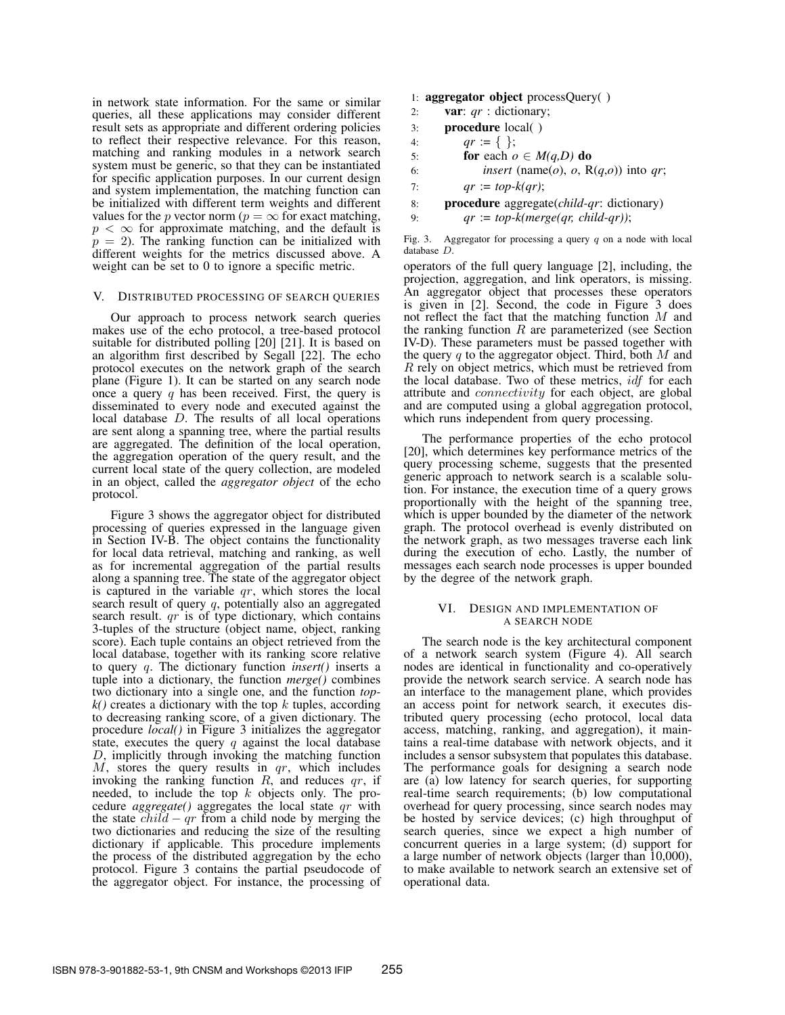in network state information. For the same or similar queries, all these applications may consider different result sets as appropriate and different ordering policies to reflect their respective relevance. For this reason, matching and ranking modules in a network search system must be generic, so that they can be instantiated for specific application purposes. In our current design and system implementation, the matching function can be initialized with different term weights and different values for the p vector norm ( $p = \infty$  for exact matching,  $p < \infty$  for approximate matching, and the default is  $p = 2$ ). The ranking function can be initialized with different weights for the metrics discussed above. A weight can be set to 0 to ignore a specific metric.

# V. DISTRIBUTED PROCESSING OF SEARCH QUERIES

Our approach to process network search queries makes use of the echo protocol, a tree-based protocol suitable for distributed polling [20] [21]. It is based on an algorithm first described by Segall [22]. The echo protocol executes on the network graph of the search plane (Figure 1). It can be started on any search node once a query  $q$  has been received. First, the query is disseminated to every node and executed against the local database D. The results of all local operations are sent along a spanning tree, where the partial results are aggregated. The definition of the local operation, the aggregation operation of the query result, and the current local state of the query collection, are modeled in an object, called the *aggregator object* of the echo protocol.

Figure 3 shows the aggregator object for distributed processing of queries expressed in the language given in Section IV-B. The object contains the functionality for local data retrieval, matching and ranking, as well as for incremental aggregation of the partial results along a spanning tree. The state of the aggregator object is captured in the variable  $qr$ , which stores the local search result of query q, potentially also an aggregated search result.  $qr$  is of type dictionary, which contains 3-tuples of the structure (object name, object, ranking score). Each tuple contains an object retrieved from the local database, together with its ranking score relative to query q. The dictionary function *insert()* inserts a tuple into a dictionary, the function *merge()* combines two dictionary into a single one, and the function *top* $k()$  creates a dictionary with the top  $k$  tuples, according to decreasing ranking score, of a given dictionary. The procedure *local()* in Figure 3 initializes the aggregator state, executes the query  $q$  against the local database D, implicitly through invoking the matching function  $M$ , stores the query results in  $qr$ , which includes invoking the ranking function  $R$ , and reduces  $qr$ , if needed, to include the top  $k$  objects only. The procedure *aggregate()* aggregates the local state qr with the state  $child - qr$  from a child node by merging the two dictionaries and reducing the size of the resulting dictionary if applicable. This procedure implements the process of the distributed aggregation by the echo protocol. Figure 3 contains the partial pseudocode of the aggregator object. For instance, the processing of

1: aggregator object processQuery( )

- 2: var: *qr* : dictionary;
- 3: procedure local( )
- 4:  $qr := \{\}$ ;
- 5: **for** each  $o \in M(q, D)$  do
- 6: *insert* (name(*o*), *o*, R(*q*,*o*)) into *qr*;

7: *qr* := *top-k(qr)*;

8: procedure aggregate(*child-qr*: dictionary)

9: *qr* := *top-k(merge(qr, child-qr))*;

Fig. 3. Aggregator for processing a query  $q$  on a node with local database D.

operators of the full query language [2], including, the projection, aggregation, and link operators, is missing. An aggregator object that processes these operators is given in [2]. Second, the code in Figure 3 does not reflect the fact that the matching function M and the ranking function  $R$  are parameterized (see Section IV-D). These parameters must be passed together with the query q to the aggregator object. Third, both M and R rely on object metrics, which must be retrieved from the local database. Two of these metrics, idf for each attribute and connectivity for each object, are global and are computed using a global aggregation protocol, which runs independent from query processing.

The performance properties of the echo protocol [20], which determines key performance metrics of the query processing scheme, suggests that the presented generic approach to network search is a scalable solution. For instance, the execution time of a query grows proportionally with the height of the spanning tree, which is upper bounded by the diameter of the network graph. The protocol overhead is evenly distributed on the network graph, as two messages traverse each link during the execution of echo. Lastly, the number of messages each search node processes is upper bounded by the degree of the network graph.

# VI. DESIGN AND IMPLEMENTATION OF A SEARCH NODE

The search node is the key architectural component of a network search system (Figure 4). All search nodes are identical in functionality and co-operatively provide the network search service. A search node has an interface to the management plane, which provides an access point for network search, it executes distributed query processing (echo protocol, local data access, matching, ranking, and aggregation), it maintains a real-time database with network objects, and it includes a sensor subsystem that populates this database. The performance goals for designing a search node are (a) low latency for search queries, for supporting real-time search requirements; (b) low computational overhead for query processing, since search nodes may be hosted by service devices; (c) high throughput of search queries, since we expect a high number of concurrent queries in a large system; (d) support for a large number of network objects (larger than 10,000), to make available to network search an extensive set of operational data.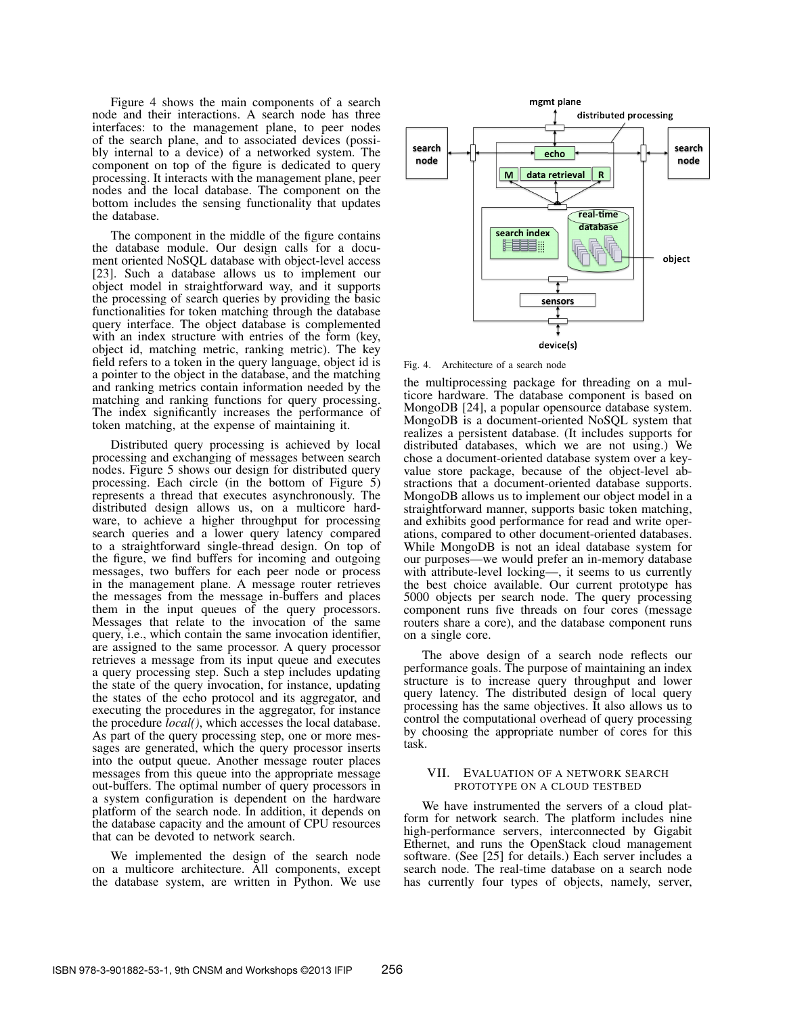Figure 4 shows the main components of a search node and their interactions. A search node has three interfaces: to the management plane, to peer nodes of the search plane, and to associated devices (possibly internal to a device) of a networked system. The component on top of the figure is dedicated to query processing. It interacts with the management plane, peer nodes and the local database. The component on the bottom includes the sensing functionality that updates the database.

The component in the middle of the figure contains the database module. Our design calls for a document oriented NoSQL database with object-level access [23]. Such a database allows us to implement our object model in straightforward way, and it supports the processing of search queries by providing the basic functionalities for token matching through the database query interface. The object database is complemented with an index structure with entries of the form (key, object id, matching metric, ranking metric). The key field refers to a token in the query language, object id is a pointer to the object in the database, and the matching and ranking metrics contain information needed by the matching and ranking functions for query processing. The index significantly increases the performance of token matching, at the expense of maintaining it.

Distributed query processing is achieved by local processing and exchanging of messages between search nodes. Figure 5 shows our design for distributed query processing. Each circle (in the bottom of Figure 5) represents a thread that executes asynchronously. The distributed design allows us, on a multicore hardware, to achieve a higher throughput for processing search queries and a lower query latency compared to a straightforward single-thread design. On top of the figure, we find buffers for incoming and outgoing messages, two buffers for each peer node or process in the management plane. A message router retrieves the messages from the message in-buffers and places them in the input queues of the query processors. Messages that relate to the invocation of the same query, i.e., which contain the same invocation identifier, are assigned to the same processor. A query processor retrieves a message from its input queue and executes a query processing step. Such a step includes updating the state of the query invocation, for instance, updating the states of the echo protocol and its aggregator, and executing the procedures in the aggregator, for instance the procedure *local()*, which accesses the local database. As part of the query processing step, one or more messages are generated, which the query processor inserts into the output queue. Another message router places messages from this queue into the appropriate message out-buffers. The optimal number of query processors in a system configuration is dependent on the hardware platform of the search node. In addition, it depends on the database capacity and the amount of CPU resources that can be devoted to network search.

We implemented the design of the search node on a multicore architecture. All components, except the database system, are written in Python. We use



Fig. 4. Architecture of a search node

the multiprocessing package for threading on a multicore hardware. The database component is based on MongoDB [24], a popular opensource database system. MongoDB is a document-oriented NoSQL system that realizes a persistent database. (It includes supports for distributed databases, which we are not using.) We chose a document-oriented database system over a keyvalue store package, because of the object-level abstractions that a document-oriented database supports. MongoDB allows us to implement our object model in a straightforward manner, supports basic token matching, and exhibits good performance for read and write operations, compared to other document-oriented databases. While MongoDB is not an ideal database system for our purposes—we would prefer an in-memory database with attribute-level locking—, it seems to us currently the best choice available. Our current prototype has 5000 objects per search node. The query processing component runs five threads on four cores (message routers share a core), and the database component runs on a single core.

The above design of a search node reflects our performance goals. The purpose of maintaining an index structure is to increase query throughput and lower query latency. The distributed design of local query processing has the same objectives. It also allows us to control the computational overhead of query processing by choosing the appropriate number of cores for this task.

# VII. EVALUATION OF A NETWORK SEARCH PROTOTYPE ON A CLOUD TESTBED

We have instrumented the servers of a cloud platform for network search. The platform includes nine high-performance servers, interconnected by Gigabit Ethernet, and runs the OpenStack cloud management software. (See [25] for details.) Each server includes a search node. The real-time database on a search node has currently four types of objects, namely, server,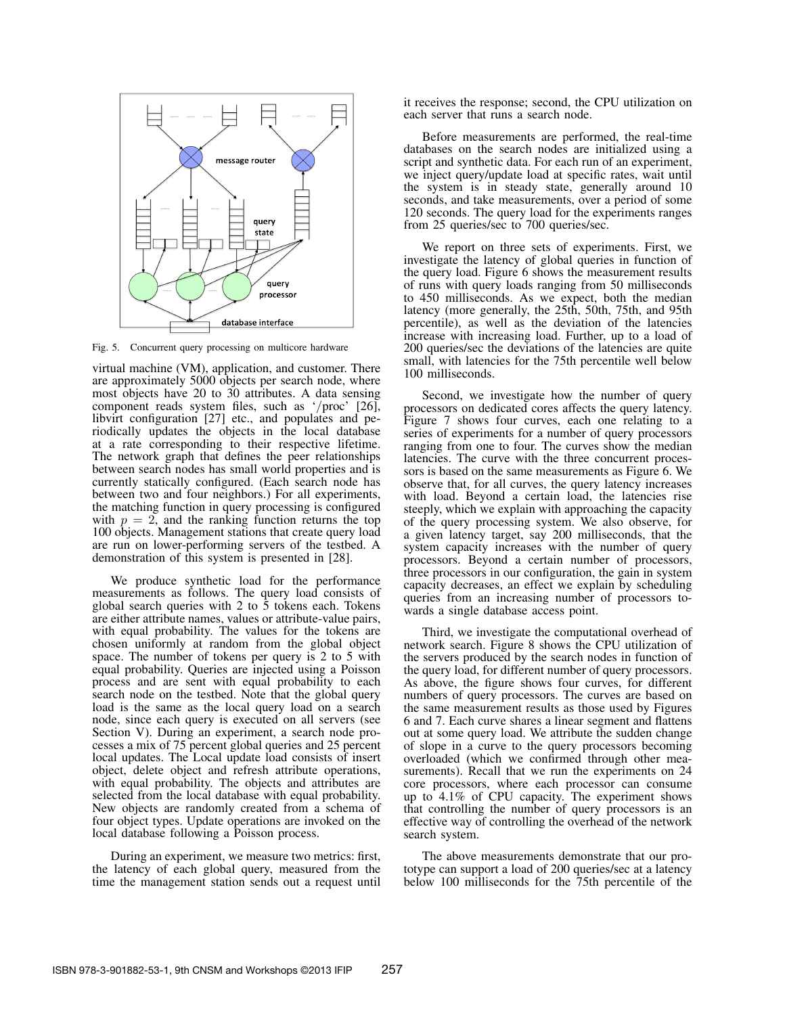

Fig. 5. Concurrent query processing on multicore hardware

virtual machine (VM), application, and customer. There are approximately 5000 objects per search node, where most objects have 20 to 30 attributes. A data sensing component reads system files, such as '/proc' [26], libvirt configuration [27] etc., and populates and periodically updates the objects in the local database at a rate corresponding to their respective lifetime. The network graph that defines the peer relationships between search nodes has small world properties and is currently statically configured. (Each search node has between two and four neighbors.) For all experiments, the matching function in query processing is configured with  $p = 2$ , and the ranking function returns the top 100 objects. Management stations that create query load are run on lower-performing servers of the testbed. A demonstration of this system is presented in [28].

We produce synthetic load for the performance measurements as follows. The query load consists of global search queries with 2 to  $\bar{5}$  tokens each. Tokens are either attribute names, values or attribute-value pairs, with equal probability. The values for the tokens are chosen uniformly at random from the global object space. The number of tokens per query is 2 to 5 with equal probability. Queries are injected using a Poisson process and are sent with equal probability to each search node on the testbed. Note that the global query load is the same as the local query load on a search node, since each query is executed on all servers (see Section V). During an experiment, a search node processes a mix of 75 percent global queries and 25 percent local updates. The Local update load consists of insert object, delete object and refresh attribute operations, with equal probability. The objects and attributes are selected from the local database with equal probability. New objects are randomly created from a schema of four object types. Update operations are invoked on the local database following a Poisson process.

During an experiment, we measure two metrics: first, the latency of each global query, measured from the time the management station sends out a request until it receives the response; second, the CPU utilization on each server that runs a search node.

Before measurements are performed, the real-time databases on the search nodes are initialized using a script and synthetic data. For each run of an experiment, we inject query/update load at specific rates, wait until the system is in steady state, generally around 10 seconds, and take measurements, over a period of some 120 seconds. The query load for the experiments ranges from 25 queries/sec to 700 queries/sec.

We report on three sets of experiments. First, we investigate the latency of global queries in function of the query load. Figure 6 shows the measurement results of runs with query loads ranging from 50 milliseconds to 450 milliseconds. As we expect, both the median latency (more generally, the 25th, 50th, 75th, and 95th percentile), as well as the deviation of the latencies increase with increasing load. Further, up to a load of 200 queries/sec the deviations of the latencies are quite small, with latencies for the 75th percentile well below 100 milliseconds.

Second, we investigate how the number of query processors on dedicated cores affects the query latency. Figure 7 shows four curves, each one relating to a series of experiments for a number of query processors ranging from one to four. The curves show the median latencies. The curve with the three concurrent processors is based on the same measurements as Figure 6. We observe that, for all curves, the query latency increases with load. Beyond a certain load, the latencies rise steeply, which we explain with approaching the capacity of the query processing system. We also observe, for a given latency target, say 200 milliseconds, that the system capacity increases with the number of query processors. Beyond a certain number of processors, three processors in our configuration, the gain in system capacity decreases, an effect we explain by scheduling queries from an increasing number of processors towards a single database access point.

Third, we investigate the computational overhead of network search. Figure 8 shows the CPU utilization of the servers produced by the search nodes in function of the query load, for different number of query processors. As above, the figure shows four curves, for different numbers of query processors. The curves are based on the same measurement results as those used by Figures 6 and 7. Each curve shares a linear segment and flattens out at some query load. We attribute the sudden change of slope in a curve to the query processors becoming overloaded (which we confirmed through other measurements). Recall that we run the experiments on 24 core processors, where each processor can consume up to 4.1% of CPU capacity. The experiment shows that controlling the number of query processors is an effective way of controlling the overhead of the network search system.

The above measurements demonstrate that our prototype can support a load of 200 queries/sec at a latency below 100 milliseconds for the 75th percentile of the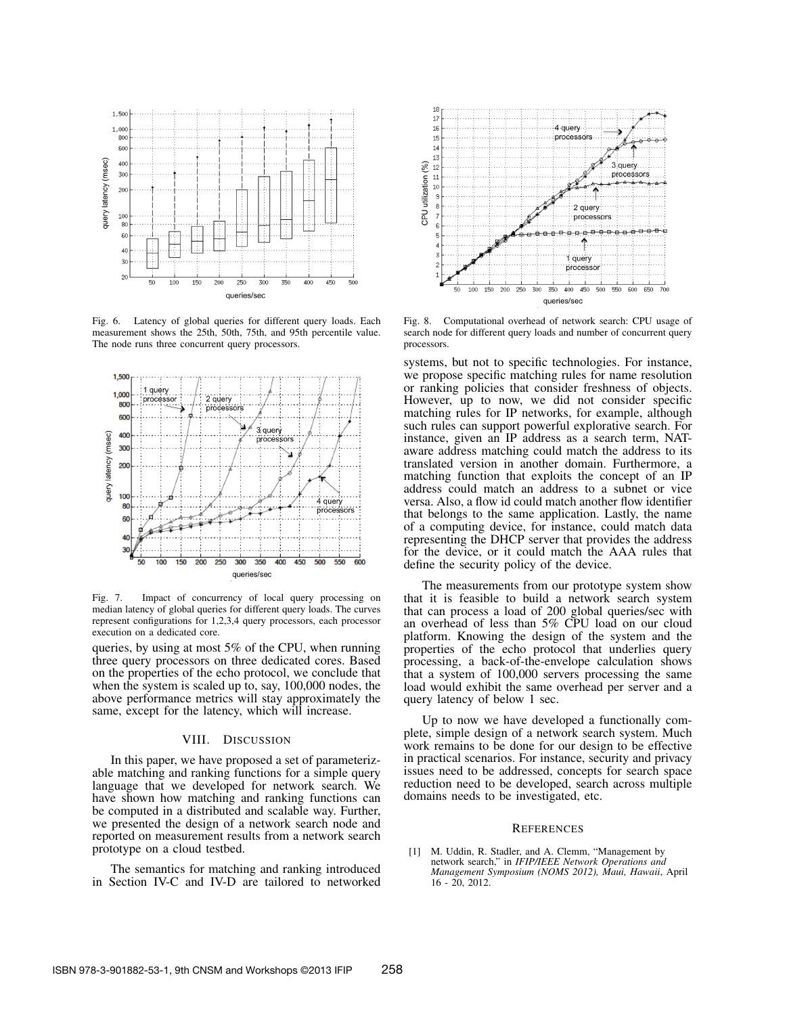

Fig. 6. Latency of global queries for different query loads. Each measurement shows the 25th, 50th, 75th, and 95th percentile value. The node runs three concurrent query processors.



Fig. 7. Impact of concurrency of local query processing on median latency of global queries for different query loads. The curves represent configurations for 1,2,3,4 query processors, each processor execution on a dedicated core.

queries, by using at most 5% of the CPU, when running three query processors on three dedicated cores. Based on the properties of the echo protocol, we conclude that when the system is scaled up to, say, 100,000 nodes, the above performance metrics will stay approximately the same, except for the latency, which will increase.

#### VIII. DISCUSSION

In this paper, we have proposed a set of parameterizable matching and ranking functions for a simple query language that we developed for network search. We have shown how matching and ranking functions can be computed in a distributed and scalable way. Further, we presented the design of a network search node and reported on measurement results from a network search prototype on a cloud testbed.

The semantics for matching and ranking introduced in Section IV-C and IV-D are tailored to networked



Fig. 8. Computational overhead of network search: CPU usage of search node for different query loads and number of concurrent query processors.

systems, but not to specific technologies. For instance, we propose specific matching rules for name resolution or ranking policies that consider freshness of objects. However, up to now, we did not consider specific matching rules for IP networks, for example, although such rules can support powerful explorative search. For instance, given an IP address as a search term, NATaware address matching could match the address to its translated version in another domain. Furthermore, a matching function that exploits the concept of an IP address could match an address to a subnet or vice versa. Also, a flow id could match another flow identifier that belongs to the same application. Lastly, the name of a computing device, for instance, could match data representing the DHCP server that provides the address for the device, or it could match the AAA rules that define the security policy of the device.

The measurements from our prototype system show that it is feasible to build a network search system that can process a load of 200 global queries/sec with an overhead of less than 5% CPU load on our cloud platform. Knowing the design of the system and the properties of the echo protocol that underlies query processing, a back-of-the-envelope calculation shows that a system of 100,000 servers processing the same load would exhibit the same overhead per server and a query latency of below 1 sec.

Up to now we have developed a functionally complete, simple design of a network search system. Much work remains to be done for our design to be effective in practical scenarios. For instance, security and privacy issues need to be addressed, concepts for search space reduction need to be developed, search across multiple domains needs to be investigated, etc.

# **REFERENCES**

[1] M. Uddin, R. Stadler, and A. Clemm, "Management by network search," in *IFIP/IEEE Network Operations and Management Symposium (NOMS 2012), Maui, Hawaii*, April 16 - 20, 2012.